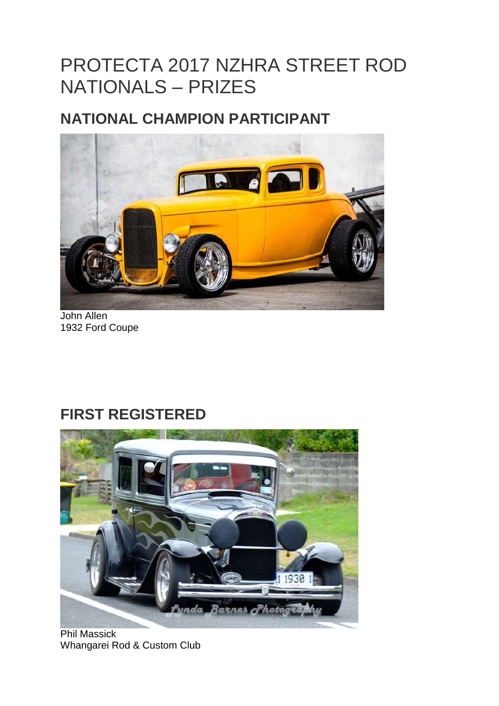# PROTECTA 2017 NZHRA STREET ROD NATIONALS – PRIZES

#### **NATIONAL CHAMPION PARTICIPANT**



John Allen 1932 Ford Coupe

#### **FIRST REGISTERED**



Phil Massick Whangarei Rod & Custom Club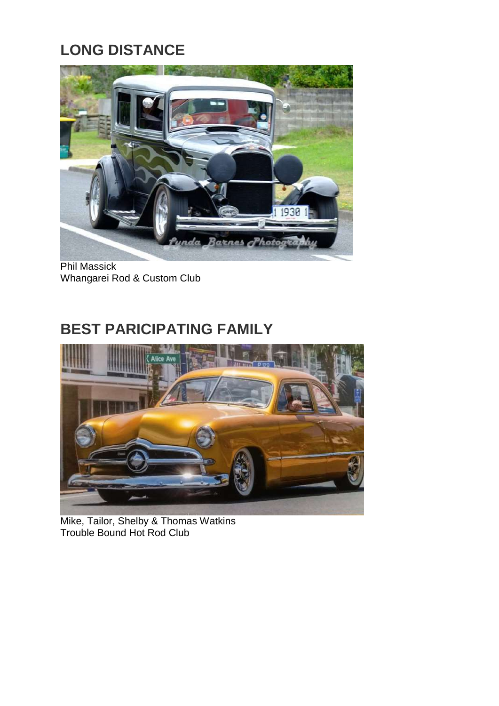# **LONG DISTANCE**



Phil Massick Whangarei Rod & Custom Club

### **BEST PARICIPATING FAMILY**



Mike, Tailor, Shelby & Thomas Watkins Trouble Bound Hot Rod Club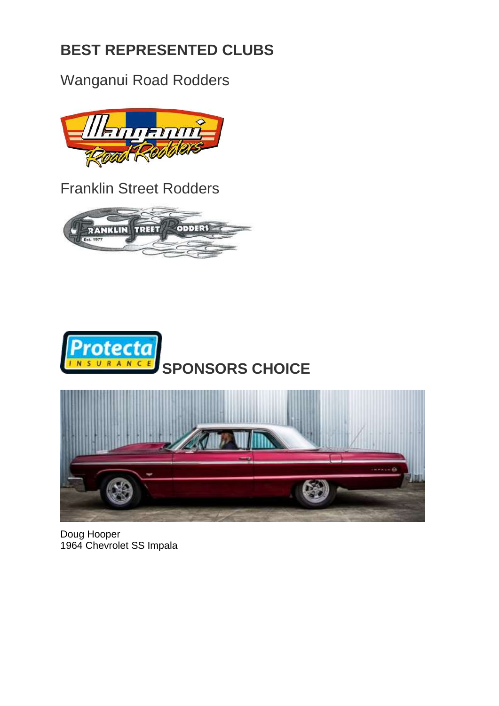## **BEST REPRESENTED CLUBS**

Wanganui Road Rodders



Franklin Street Rodders





Doug Hooper 1964 Chevrolet SS Impala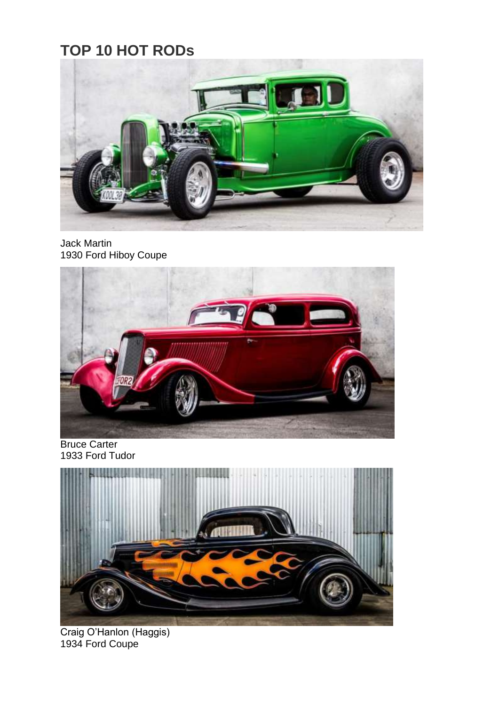## **TOP 10 HOT RODs**



Jack Martin 1930 Ford Hiboy Coupe



Bruce Carter 1933 Ford Tudor



Craig O'Hanlon (Haggis) 1934 Ford Coupe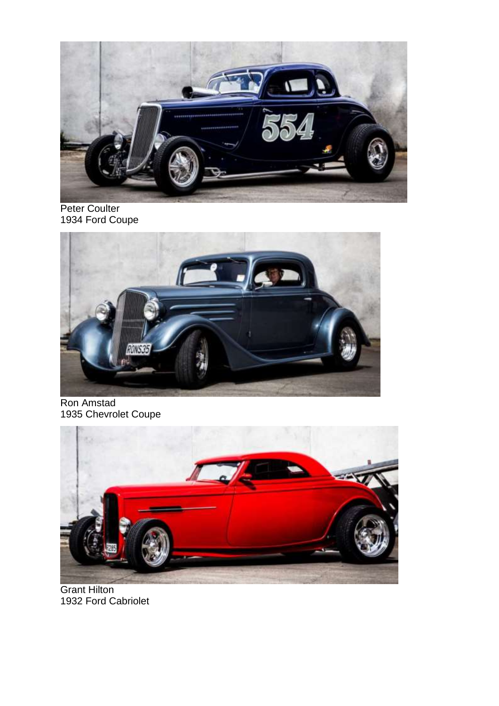

Peter Coulter 1934 Ford Coupe



Ron Amstad 1935 Chevrolet Coupe



Grant Hilton 1932 Ford Cabriolet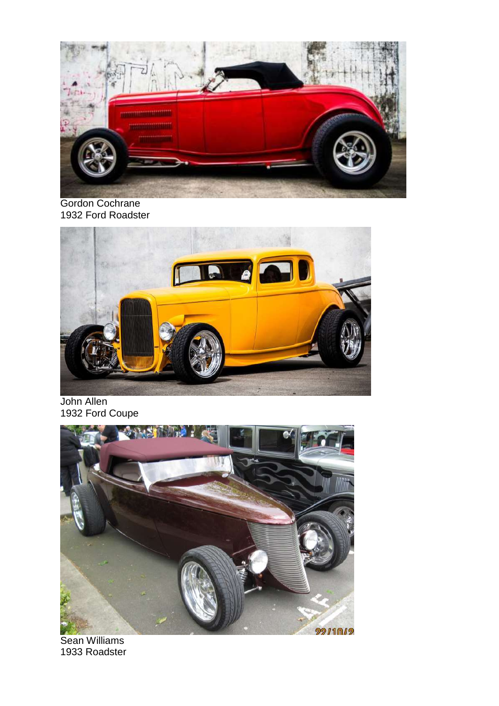

Gordon Cochrane 1932 Ford Roadster



John Allen 1932 Ford Coupe



Sean Williams 1933 Roadster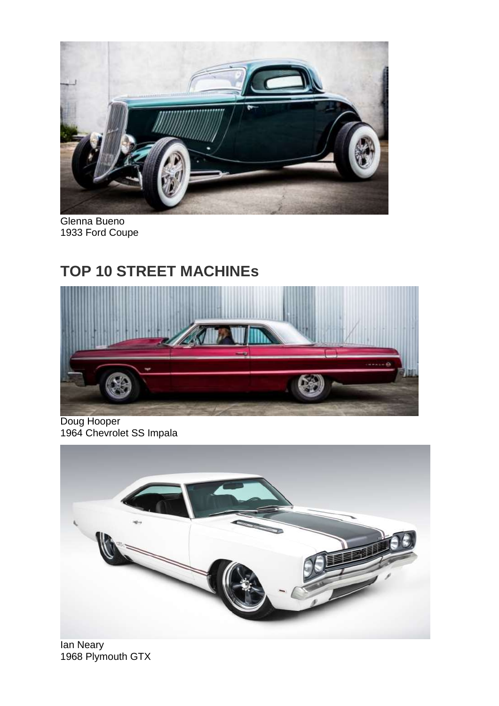

Glenna Bueno 1933 Ford Coupe

#### **TOP 10 STREET MACHINEs**



Doug Hooper 1964 Chevrolet SS Impala



Ian Neary 1968 Plymouth GTX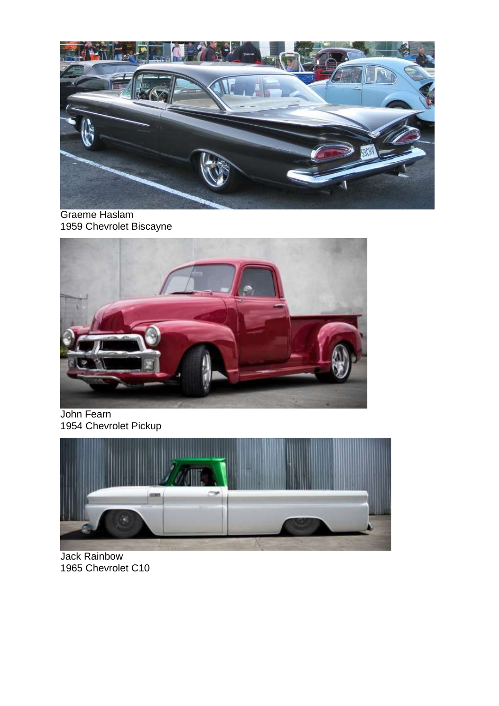

Graeme Haslam 1959 Chevrolet Biscayne



John Fearn 1954 Chevrolet Pickup



Jack Rainbow 1965 Chevrolet C10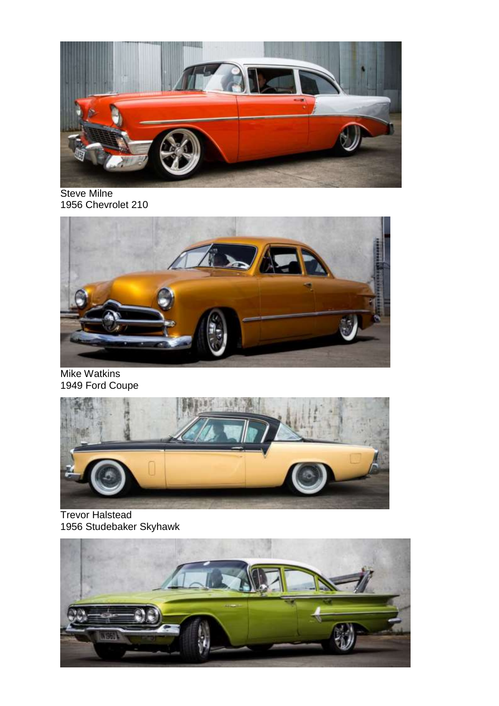

Steve Milne 1956 Chevrolet 210



Mike Watkins 1949 Ford Coupe



Trevor Halstead 1956 Studebaker Skyhawk

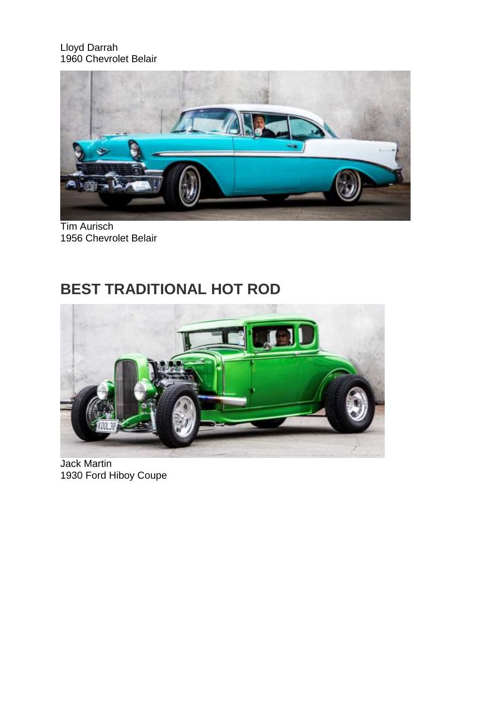Lloyd Darrah 1960 Chevrolet Belair



Tim Aurisch 1956 Chevrolet Belair

## **BEST TRADITIONAL HOT ROD**



Jack Martin 1930 Ford Hiboy Coupe